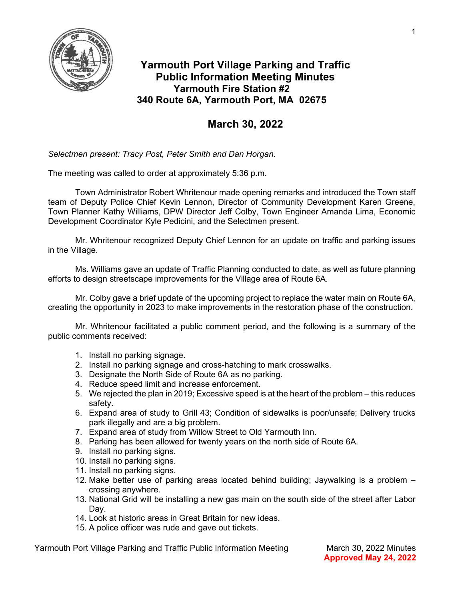

## Yarmouth Port Village Parking and Traffic Public Information Meeting Minutes Yarmouth Fire Station #2 340 Route 6A, Yarmouth Port, MA 02675

## March 30, 2022

Selectmen present: Tracy Post, Peter Smith and Dan Horgan.

The meeting was called to order at approximately 5:36 p.m.

Town Administrator Robert Whritenour made opening remarks and introduced the Town staff team of Deputy Police Chief Kevin Lennon, Director of Community Development Karen Greene, Town Planner Kathy Williams, DPW Director Jeff Colby, Town Engineer Amanda Lima, Economic Development Coordinator Kyle Pedicini, and the Selectmen present.

Mr. Whritenour recognized Deputy Chief Lennon for an update on traffic and parking issues in the Village.

Ms. Williams gave an update of Traffic Planning conducted to date, as well as future planning efforts to design streetscape improvements for the Village area of Route 6A.

Mr. Colby gave a brief update of the upcoming project to replace the water main on Route 6A, creating the opportunity in 2023 to make improvements in the restoration phase of the construction.

Mr. Whritenour facilitated a public comment period, and the following is a summary of the public comments received:

- 1. Install no parking signage.
- 2. Install no parking signage and cross-hatching to mark crosswalks.
- 3. Designate the North Side of Route 6A as no parking.
- 4. Reduce speed limit and increase enforcement.
- 5. We rejected the plan in 2019; Excessive speed is at the heart of the problem this reduces safety.
- 6. Expand area of study to Grill 43; Condition of sidewalks is poor/unsafe; Delivery trucks park illegally and are a big problem.
- 7. Expand area of study from Willow Street to Old Yarmouth Inn.
- 8. Parking has been allowed for twenty years on the north side of Route 6A.
- 9. Install no parking signs.
- 10. Install no parking signs.
- 11. Install no parking signs.
- 12. Make better use of parking areas located behind building; Jaywalking is a problem crossing anywhere.
- 13. National Grid will be installing a new gas main on the south side of the street after Labor Dav.
- 14. Look at historic areas in Great Britain for new ideas.
- 15. A police officer was rude and gave out tickets.

Yarmouth Port Village Parking and Traffic Public Information Meeting March 30, 2022 Minutes